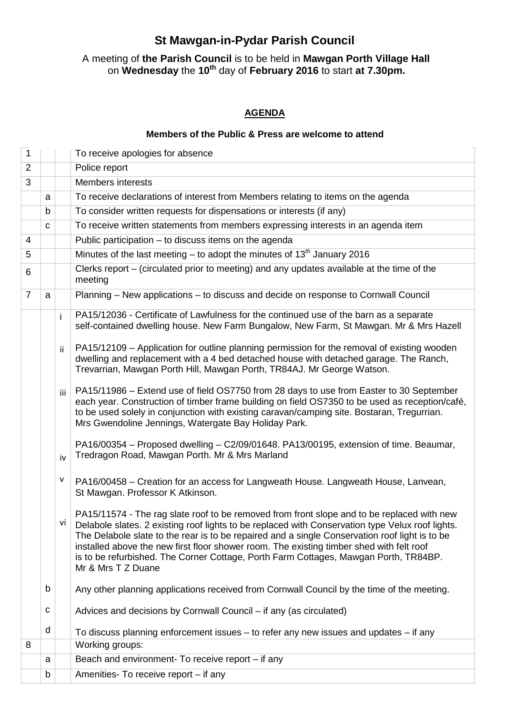## **St Mawgan-in-Pydar Parish Council**

## A meeting of **the Parish Council** is to be held in **Mawgan Porth Village Hall**  on **Wednesday** the **10th** day of **February 2016** to start **at 7.30pm.**

## **AGENDA**

## **Members of the Public & Press are welcome to attend**

| $\mathbf 1$    |   |     | To receive apologies for absence                                                                                                                                                                                                                                                                                                                                                                                                                                                                           |
|----------------|---|-----|------------------------------------------------------------------------------------------------------------------------------------------------------------------------------------------------------------------------------------------------------------------------------------------------------------------------------------------------------------------------------------------------------------------------------------------------------------------------------------------------------------|
| $\overline{2}$ |   |     | Police report                                                                                                                                                                                                                                                                                                                                                                                                                                                                                              |
| 3              |   |     | <b>Members interests</b>                                                                                                                                                                                                                                                                                                                                                                                                                                                                                   |
|                | a |     | To receive declarations of interest from Members relating to items on the agenda                                                                                                                                                                                                                                                                                                                                                                                                                           |
|                | b |     | To consider written requests for dispensations or interests (if any)                                                                                                                                                                                                                                                                                                                                                                                                                                       |
|                | C |     | To receive written statements from members expressing interests in an agenda item                                                                                                                                                                                                                                                                                                                                                                                                                          |
| 4              |   |     | Public participation - to discuss items on the agenda                                                                                                                                                                                                                                                                                                                                                                                                                                                      |
| 5              |   |     | Minutes of the last meeting – to adopt the minutes of $13th$ January 2016                                                                                                                                                                                                                                                                                                                                                                                                                                  |
| 6              |   |     | Clerks report – (circulated prior to meeting) and any updates available at the time of the<br>meeting                                                                                                                                                                                                                                                                                                                                                                                                      |
| $\overline{7}$ | a |     | Planning – New applications – to discuss and decide on response to Cornwall Council                                                                                                                                                                                                                                                                                                                                                                                                                        |
|                |   | i.  | PA15/12036 - Certificate of Lawfulness for the continued use of the barn as a separate<br>self-contained dwelling house. New Farm Bungalow, New Farm, St Mawgan. Mr & Mrs Hazell                                                                                                                                                                                                                                                                                                                           |
|                |   | ii  | PA15/12109 - Application for outline planning permission for the removal of existing wooden<br>dwelling and replacement with a 4 bed detached house with detached garage. The Ranch,<br>Trevarrian, Mawgan Porth Hill, Mawgan Porth, TR84AJ. Mr George Watson.                                                                                                                                                                                                                                             |
|                |   | iii | PA15/11986 – Extend use of field OS7750 from 28 days to use from Easter to 30 September<br>each year. Construction of timber frame building on field OS7350 to be used as reception/café,<br>to be used solely in conjunction with existing caravan/camping site. Bostaran, Tregurrian.<br>Mrs Gwendoline Jennings, Watergate Bay Holiday Park.                                                                                                                                                            |
|                |   | iv  | PA16/00354 – Proposed dwelling – C2/09/01648. PA13/00195, extension of time. Beaumar,<br>Tredragon Road, Mawgan Porth. Mr & Mrs Marland                                                                                                                                                                                                                                                                                                                                                                    |
|                |   | ۷   | PA16/00458 – Creation for an access for Langweath House. Langweath House, Lanvean,<br>St Mawgan. Professor K Atkinson.                                                                                                                                                                                                                                                                                                                                                                                     |
|                |   | vi  | PA15/11574 - The rag slate roof to be removed from front slope and to be replaced with new<br>Delabole slates. 2 existing roof lights to be replaced with Conservation type Velux roof lights.<br>The Delabole slate to the rear is to be repaired and a single Conservation roof light is to be<br>installed above the new first floor shower room. The existing timber shed with felt roof<br>is to be refurbished. The Corner Cottage, Porth Farm Cottages, Mawgan Porth, TR84BP.<br>Mr & Mrs T Z Duane |
|                | b |     | Any other planning applications received from Cornwall Council by the time of the meeting.                                                                                                                                                                                                                                                                                                                                                                                                                 |
|                | с |     | Advices and decisions by Cornwall Council – if any (as circulated)                                                                                                                                                                                                                                                                                                                                                                                                                                         |
|                | d |     | To discuss planning enforcement issues $-$ to refer any new issues and updates $-$ if any                                                                                                                                                                                                                                                                                                                                                                                                                  |
| 8              |   |     | Working groups:                                                                                                                                                                                                                                                                                                                                                                                                                                                                                            |
|                | a |     | Beach and environment- To receive report – if any                                                                                                                                                                                                                                                                                                                                                                                                                                                          |
|                | b |     | Amenities- To receive report - if any                                                                                                                                                                                                                                                                                                                                                                                                                                                                      |